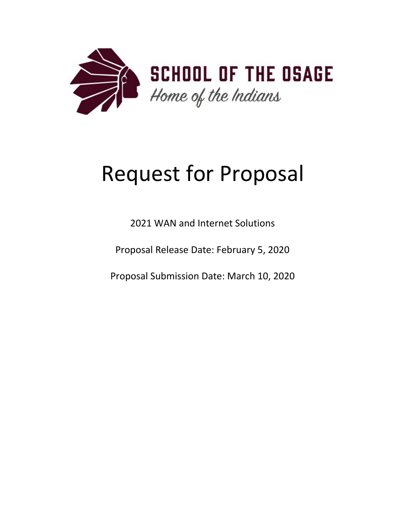

# Request for Proposal

2021 WAN and Internet Solutions

Proposal Release Date: February 5, 2020

Proposal Submission Date: March 10, 2020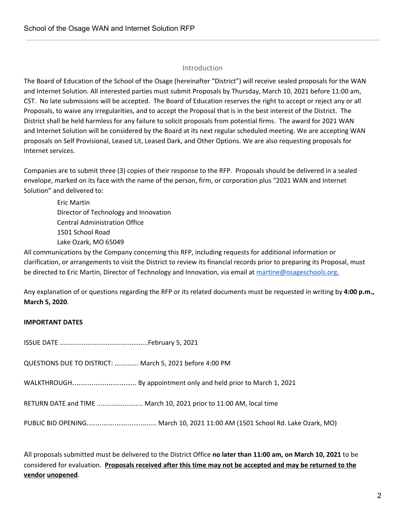## Introduction

The Board of Education of the School of the Osage (hereinafter "District") will receive sealed proposals for the WAN and Internet Solution. All interested parties must submit Proposals by Thursday, March 10, 2021 before 11:00 am, CST. No late submissions will be accepted. The Board of Education reserves the right to accept or reject any or all Proposals, to waive any irregularities, and to accept the Proposal that is in the best interest of the District. The District shall be held harmless for any failure to solicit proposals from potential firms. The award for 2021 WAN and Internet Solution will be considered by the Board at its next regular scheduled meeting. We are accepting WAN proposals on Self Provisional, Leased Lit, Leased Dark, and Other Options. We are also requesting proposals for Internet services.

Companies are to submit three (3) copies of their response to the RFP. Proposals should be delivered in a sealed envelope, marked on its face with the name of the person, firm, or corporation plus "2021 WAN and Internet Solution" and delivered to:

Eric Martin Director of Technology and Innovation Central Administration Office 1501 School Road Lake Ozark, MO 65049

All communications by the Company concerning this RFP, including requests for additional information or clarification, or arrangements to visit the District to review its financial records prior to preparing its Proposal, must be directed to Eric Martin, Director of Technology and Innovation, via email at [martine@osageschools.org](mailto:martine@osageschools.org).

Any explanation of or questions regarding the RFP or its related documents must be requested in writing by **4:00 p.m., March 5, 2020**.

## **IMPORTANT DATES**

| QUESTIONS DUE TO DISTRICT:  March 5, 2021 before 4:00 PM                    |
|-----------------------------------------------------------------------------|
| WALKTHROUGH By appointment only and held prior to March 1, 2021             |
| RETURN DATE and TIME  March 10, 2021 prior to 11:00 AM, local time          |
| PUBLIC BID OPENING March 10, 2021 11:00 AM (1501 School Rd. Lake Ozark, MO) |

All proposals submitted must be delivered to the District Office **no later than 11:00 am, on March 10, 2021** to be considered for evaluation. **Proposals received after this time may not be accepted and may be returned to the vendor unopened**.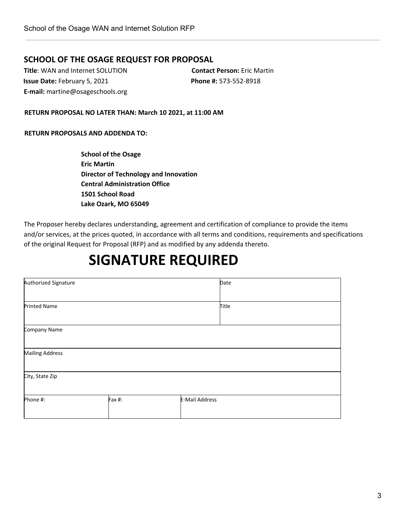## **SCHOOL OF THE OSAGE REQUEST FOR PROPOSAL**

**Title**: WAN and Internet SOLUTION **Contact Person:** Eric Martin **Issue Date:** February 5, 2021 **Phone #:** 573-552-8918 **E-mail:** martine@osageschools.org

**RETURN PROPOSAL NO LATER THAN: March 10 2021, at 11:00 AM**

#### **RETURN PROPOSALS AND ADDENDA TO:**

**School of the Osage Eric Martin Director of Technology and Innovation Central Administration Office 1501 School Road Lake Ozark, MO 65049**

The Proposer hereby declares understanding, agreement and certification of compliance to provide the items and/or services, at the prices quoted, in accordance with all terms and conditions, requirements and specifications of the original Request for Proposal (RFP) and as modified by any addenda thereto.

## **SIGNATURE REQUIRED**

| Authorized Signature   |        |                       | Date  |
|------------------------|--------|-----------------------|-------|
|                        |        |                       |       |
| <b>Printed Name</b>    |        |                       | Title |
|                        |        |                       |       |
| Company Name           |        |                       |       |
|                        |        |                       |       |
| <b>Mailing Address</b> |        |                       |       |
|                        |        |                       |       |
| City, State Zip        |        |                       |       |
|                        |        |                       |       |
| Phone #:               | Fax #: | <b>E-Mail Address</b> |       |
|                        |        |                       |       |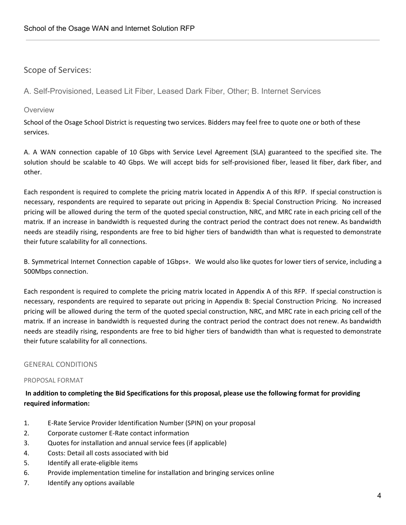## Scope of Services:

A. Self-Provisioned, Leased Lit Fiber, Leased Dark Fiber, Other; B. Internet Services

## **Overview**

School of the Osage School District is requesting two services. Bidders may feel free to quote one or both of these services.

A. A WAN connection capable of 10 Gbps with Service Level Agreement (SLA) guaranteed to the specified site. The solution should be scalable to 40 Gbps. We will accept bids for self-provisioned fiber, leased lit fiber, dark fiber, and other.

Each respondent is required to complete the pricing matrix located in Appendix A of this RFP. If special construction is necessary, respondents are required to separate out pricing in Appendix B: Special Construction Pricing. No increased pricing will be allowed during the term of the quoted special construction, NRC, and MRC rate in each pricing cell of the matrix. If an increase in bandwidth is requested during the contract period the contract does not renew. As bandwidth needs are steadily rising, respondents are free to bid higher tiers of bandwidth than what is requested to demonstrate their future scalability for all connections.

B. Symmetrical Internet Connection capable of 1Gbps+. We would also like quotes for lower tiers of service, including a 500Mbps connection.

Each respondent is required to complete the pricing matrix located in Appendix A of this RFP. If special construction is necessary, respondents are required to separate out pricing in Appendix B: Special Construction Pricing. No increased pricing will be allowed during the term of the quoted special construction, NRC, and MRC rate in each pricing cell of the matrix. If an increase in bandwidth is requested during the contract period the contract does not renew. As bandwidth needs are steadily rising, respondents are free to bid higher tiers of bandwidth than what is requested to demonstrate their future scalability for all connections.

## GENERAL CONDITIONS

## PROPOSAL FORMAT

In addition to completing the Bid Specifications for this proposal, please use the following format for providing **required information:**

- 1. E-Rate Service Provider Identification Number (SPIN) on your proposal
- 2. Corporate customer E-Rate contact information
- 3. Quotes for installation and annual service fees (if applicable)
- 4. Costs: Detail all costs associated with bid
- 5. Identify all erate-eligible items
- 6. Provide implementation timeline for installation and bringing services online
- 7. Identify any options available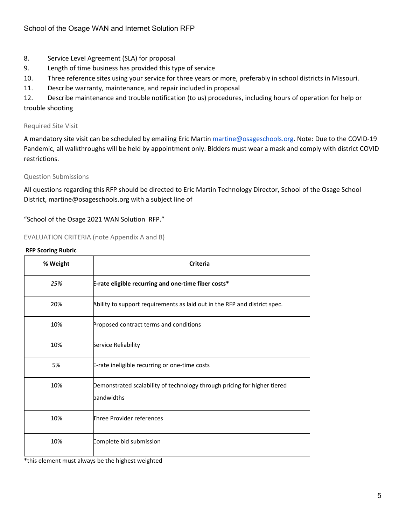- 8. Service Level Agreement (SLA) for proposal
- 9. Length of time business has provided this type of service
- 10. Three reference sites using your service for three years or more, preferably in school districts in Missouri.
- 11. Describe warranty, maintenance, and repair included in proposal

12. Describe maintenance and trouble notification (to us) procedures, including hours of operation for help or trouble shooting

## Required Site Visit

A mandatory site visit can be scheduled by emailing Eric Martin [martine@osageschools.org](mailto:martine@osageschools.org). Note: Due to the COVID-19 Pandemic, all walkthroughs will be held by appointment only. Bidders must wear a mask and comply with district COVID restrictions.

## Question Submissions

All questions regarding this RFP should be directed to Eric Martin Technology Director, School of the Osage School District, martine@osageschools.org with a subject line of

"School of the Osage 2021 WAN Solution RFP."

## EVALUATION CRITERIA (note Appendix A and B)

#### **RFP Scoring Rubric**

| % Weight | <b>Criteria</b>                                                                        |
|----------|----------------------------------------------------------------------------------------|
| 25%      | E-rate eligible recurring and one-time fiber costs*                                    |
| 20%      | Ability to support requirements as laid out in the RFP and district spec.              |
| 10%      | Proposed contract terms and conditions                                                 |
| 10%      | Service Reliability                                                                    |
| 5%       | E-rate ineligible recurring or one-time costs                                          |
| 10%      | Demonstrated scalability of technology through pricing for higher tiered<br>bandwidths |
| 10%      | Three Provider references                                                              |
| 10%      | Complete bid submission                                                                |

\*this element must always be the highest weighted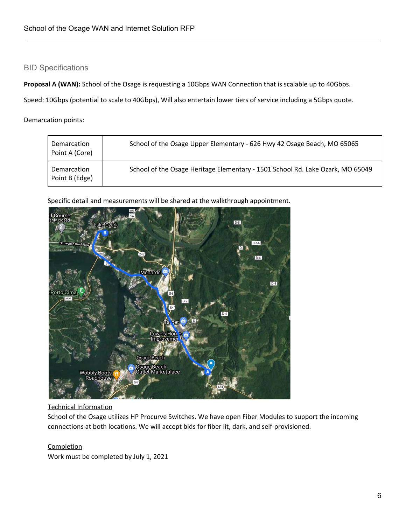## BID Specifications

**Proposal A (WAN):** School of the Osage is requesting a 10Gbps WAN Connection that is scalable up to 40Gbps.

Speed: 10Gbps (potential to scale to 40Gbps), Will also entertain lower tiers of service including a 5Gbps quote.

Demarcation points:

| Demarcation<br>Point A (Core)        | School of the Osage Upper Elementary - 626 Hwy 42 Osage Beach, MO 65065        |
|--------------------------------------|--------------------------------------------------------------------------------|
| <b>Demarcation</b><br>Point B (Edge) | School of the Osage Heritage Elementary - 1501 School Rd. Lake Ozark, MO 65049 |

Specific detail and measurements will be shared at the walkthrough appointment.



## Technical Information

School of the Osage utilizes HP Procurve Switches. We have open Fiber Modules to support the incoming connections at both locations. We will accept bids for fiber lit, dark, and self-provisioned.

## **Completion**

Work must be completed by July 1, 2021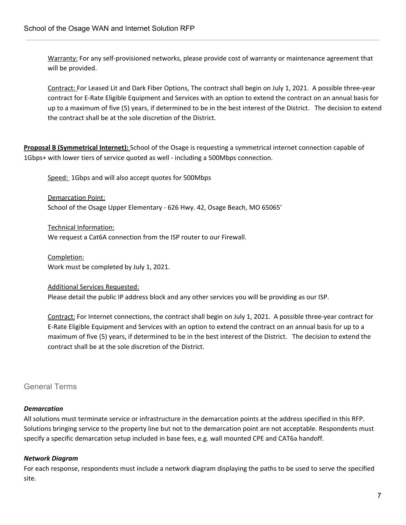Warranty: For any self-provisioned networks, please provide cost of warranty or maintenance agreement that will be provided.

Contract: For Leased Lit and Dark Fiber Options, The contract shall begin on July 1, 2021. A possible three-year contract for E-Rate Eligible Equipment and Services with an option to extend the contract on an annual basis for up to a maximum of five (5) years, if determined to be in the best interest of the District. The decision to extend the contract shall be at the sole discretion of the District.

**Proposal B (Symmetrical Internet):** School of the Osage is requesting a symmetrical internet connection capable of 1Gbps+ with lower tiers of service quoted as well - including a 500Mbps connection.

Speed: 1Gbps and will also accept quotes for 500Mbps

Demarcation Point: School of the Osage Upper Elementary - 626 Hwy. 42, Osage Beach, MO 65065'

Technical Information: We request a Cat6A connection from the ISP router to our Firewall.

Completion: Work must be completed by July 1, 2021.

Additional Services Requested: Please detail the public IP address block and any other services you will be providing as our ISP.

Contract: For Internet connections, the contract shall begin on July 1, 2021. A possible three-year contract for E-Rate Eligible Equipment and Services with an option to extend the contract on an annual basis for up to a maximum of five (5) years, if determined to be in the best interest of the District. The decision to extend the contract shall be at the sole discretion of the District.

## General Terms

## *Demarcation*

All solutions must terminate service or infrastructure in the demarcation points at the address specified in this RFP. Solutions bringing service to the property line but not to the demarcation point are not acceptable. Respondents must specify a specific demarcation setup included in base fees, e.g. wall mounted CPE and CAT6a handoff.

## *Network Diagram*

For each response, respondents must include a network diagram displaying the paths to be used to serve the specified site.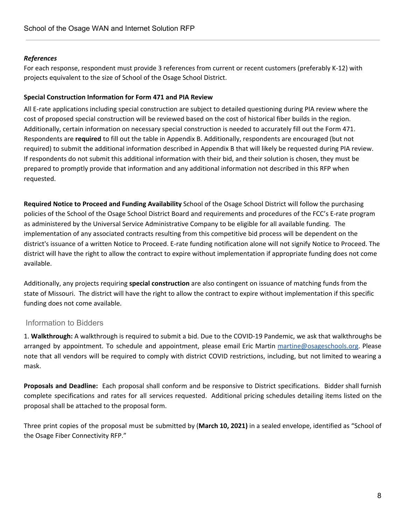## *References*

For each response, respondent must provide 3 references from current or recent customers (preferably K-12) with projects equivalent to the size of School of the Osage School District.

## **Special Construction Information for Form 471 and PIA Review**

All E-rate applications including special construction are subject to detailed questioning during PIA review where the cost of proposed special construction will be reviewed based on the cost of historical fiber builds in the region. Additionally, certain information on necessary special construction is needed to accurately fill out the Form 471. Respondents are **required** to fill out the table in Appendix B. Additionally, respondents are encouraged (but not required) to submit the additional information described in Appendix B that will likely be requested during PIA review. If respondents do not submit this additional information with their bid, and their solution is chosen, they must be prepared to promptly provide that information and any additional information not described in this RFP when requested.

**Required Notice to Proceed and Funding Availability** School of the Osage School District will follow the purchasing policies of the School of the Osage School District Board and requirements and procedures of the FCC's E-rate program as administered by the Universal Service Administrative Company to be eligible for all available funding. The implementation of any associated contracts resulting from this competitive bid process will be dependent on the district's issuance of a written Notice to Proceed. E-rate funding notification alone will not signify Notice to Proceed. The district will have the right to allow the contract to expire without implementation if appropriate funding does not come available.

Additionally, any projects requiring **special construction** are also contingent on issuance of matching funds from the state of Missouri. The district will have the right to allow the contract to expire without implementation if this specific funding does not come available.

## Information to Bidders

1. **Walkthrough:** A walkthrough is required to submit a bid. Due to the COVID-19 Pandemic, we ask that walkthroughs be arranged by appointment. To schedule and appointment, please email Eric Martin [martine@osageschools.org.](mailto:martine@osageschools.org) Please note that all vendors will be required to comply with district COVID restrictions, including, but not limited to wearing a mask.

**Proposals and Deadline:** Each proposal shall conform and be responsive to District specifications. Bidder shall furnish complete specifications and rates for all services requested. Additional pricing schedules detailing items listed on the proposal shall be attached to the proposal form.

Three print copies of the proposal must be submitted by (**March 10, 2021)** in a sealed envelope, identified as "School of the Osage Fiber Connectivity RFP."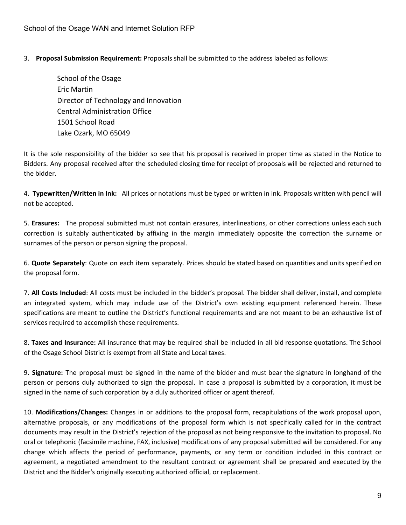3. **Proposal Submission Requirement:** Proposals shall be submitted to the address labeled as follows:

School of the Osage Eric Martin Director of Technology and Innovation Central Administration Office 1501 School Road Lake Ozark, MO 65049

It is the sole responsibility of the bidder so see that his proposal is received in proper time as stated in the Notice to Bidders. Any proposal received after the scheduled closing time for receipt of proposals will be rejected and returned to the bidder.

4. **Typewritten/Written in Ink:** All prices or notations must be typed or written in ink. Proposals written with pencil will not be accepted.

5. **Erasures:** The proposal submitted must not contain erasures, interlineations, or other corrections unless each such correction is suitably authenticated by affixing in the margin immediately opposite the correction the surname or surnames of the person or person signing the proposal.

6. **Quote Separately**: Quote on each item separately. Prices should be stated based on quantities and units specified on the proposal form.

7. **All Costs Included**: All costs must be included in the bidder's proposal. The bidder shall deliver, install, and complete an integrated system, which may include use of the District's own existing equipment referenced herein. These specifications are meant to outline the District's functional requirements and are not meant to be an exhaustive list of services required to accomplish these requirements.

8. **Taxes and Insurance:** All insurance that may be required shall be included in all bid response quotations. The School of the Osage School District is exempt from all State and Local taxes.

9. **Signature:** The proposal must be signed in the name of the bidder and must bear the signature in longhand of the person or persons duly authorized to sign the proposal. In case a proposal is submitted by a corporation, it must be signed in the name of such corporation by a duly authorized officer or agent thereof.

10. **Modifications/Changes:** Changes in or additions to the proposal form, recapitulations of the work proposal upon, alternative proposals, or any modifications of the proposal form which is not specifically called for in the contract documents may result in the District's rejection of the proposal as not being responsive to the invitation to proposal. No oral or telephonic (facsimile machine, FAX, inclusive) modifications of any proposal submitted will be considered. For any change which affects the period of performance, payments, or any term or condition included in this contract or agreement, a negotiated amendment to the resultant contract or agreement shall be prepared and executed by the District and the Bidder's originally executing authorized official, or replacement.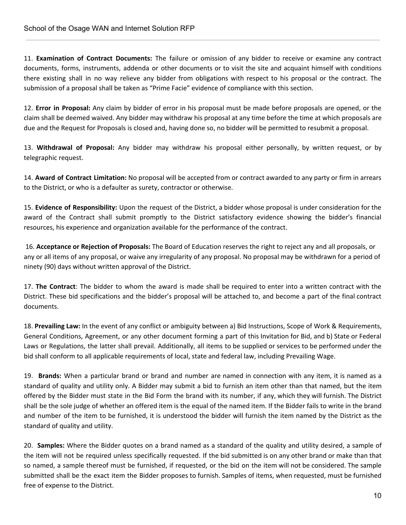11. **Examination of Contract Documents:** The failure or omission of any bidder to receive or examine any contract documents, forms, instruments, addenda or other documents or to visit the site and acquaint himself with conditions there existing shall in no way relieve any bidder from obligations with respect to his proposal or the contract. The submission of a proposal shall be taken as "Prime Facie" evidence of compliance with this section.

12. **Error in Proposal:** Any claim by bidder of error in his proposal must be made before proposals are opened, or the claim shall be deemed waived. Any bidder may withdraw his proposal at any time before the time at which proposals are due and the Request for Proposals is closed and, having done so, no bidder will be permitted to resubmit a proposal.

13. **Withdrawal of Proposal:** Any bidder may withdraw his proposal either personally, by written request, or by telegraphic request.

14. **Award of Contract Limitation:** No proposal will be accepted from or contract awarded to any party or firm in arrears to the District, or who is a defaulter as surety, contractor or otherwise.

15. **Evidence of Responsibility:** Upon the request of the District, a bidder whose proposal is under consideration for the award of the Contract shall submit promptly to the District satisfactory evidence showing the bidder's financial resources, his experience and organization available for the performance of the contract.

16. **Acceptance or Rejection of Proposals:** The Board of Education reserves the right to reject any and all proposals, or any or all items of any proposal, or waive any irregularity of any proposal. No proposal may be withdrawn for a period of ninety (90) days without written approval of the District.

17. **The Contract**: The bidder to whom the award is made shall be required to enter into a written contract with the District. These bid specifications and the bidder's proposal will be attached to, and become a part of the final contract documents.

18. **Prevailing Law:** In the event of any conflict or ambiguity between a) Bid Instructions, Scope of Work & Requirements, General Conditions, Agreement, or any other document forming a part of this Invitation for Bid, and b) State or Federal Laws or Regulations, the latter shall prevail. Additionally, all items to be supplied or services to be performed under the bid shall conform to all applicable requirements of local, state and federal law, including Prevailing Wage.

19. **Brands:** When a particular brand or brand and number are named in connection with any item, it is named as a standard of quality and utility only. A Bidder may submit a bid to furnish an item other than that named, but the item offered by the Bidder must state in the Bid Form the brand with its number, if any, which they will furnish. The District shall be the sole judge of whether an offered item is the equal of the named item. If the Bidder fails to write in the brand and number of the item to be furnished, it is understood the bidder will furnish the item named by the District as the standard of quality and utility.

20. **Samples:** Where the Bidder quotes on a brand named as a standard of the quality and utility desired, a sample of the item will not be required unless specifically requested. If the bid submitted is on any other brand or make than that so named, a sample thereof must be furnished, if requested, or the bid on the item will not be considered. The sample submitted shall be the exact item the Bidder proposes to furnish. Samples of items, when requested, must be furnished free of expense to the District.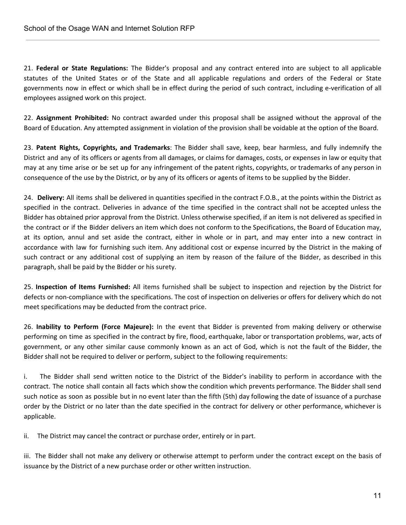21. **Federal or State Regulations:** The Bidder's proposal and any contract entered into are subject to all applicable statutes of the United States or of the State and all applicable regulations and orders of the Federal or State governments now in effect or which shall be in effect during the period of such contract, including e-verification of all employees assigned work on this project.

22. **Assignment Prohibited:** No contract awarded under this proposal shall be assigned without the approval of the Board of Education. Any attempted assignment in violation of the provision shall be voidable at the option of the Board.

23. **Patent Rights, Copyrights, and Trademarks**: The Bidder shall save, keep, bear harmless, and fully indemnify the District and any of its officers or agents from all damages, or claims for damages, costs, or expenses in law or equity that may at any time arise or be set up for any infringement of the patent rights, copyrights, or trademarks of any person in consequence of the use by the District, or by any of its officers or agents of items to be supplied by the Bidder.

24. **Delivery:** All items shall be delivered in quantities specified in the contract F.O.B., at the points within the District as specified in the contract. Deliveries in advance of the time specified in the contract shall not be accepted unless the Bidder has obtained prior approval from the District. Unless otherwise specified, if an item is not delivered as specified in the contract or if the Bidder delivers an item which does not conform to the Specifications, the Board of Education may, at its option, annul and set aside the contract, either in whole or in part, and may enter into a new contract in accordance with law for furnishing such item. Any additional cost or expense incurred by the District in the making of such contract or any additional cost of supplying an item by reason of the failure of the Bidder, as described in this paragraph, shall be paid by the Bidder or his surety.

25. **Inspection of Items Furnished:** All items furnished shall be subject to inspection and rejection by the District for defects or non-compliance with the specifications. The cost of inspection on deliveries or offers for delivery which do not meet specifications may be deducted from the contract price.

26. **Inability to Perform (Force Majeure):** In the event that Bidder is prevented from making delivery or otherwise performing on time as specified in the contract by fire, flood, earthquake, labor or transportation problems, war, acts of government, or any other similar cause commonly known as an act of God, which is not the fault of the Bidder, the Bidder shall not be required to deliver or perform, subject to the following requirements:

i. The Bidder shall send written notice to the District of the Bidder's inability to perform in accordance with the contract. The notice shall contain all facts which show the condition which prevents performance. The Bidder shall send such notice as soon as possible but in no event later than the fifth (5th) day following the date of issuance of a purchase order by the District or no later than the date specified in the contract for delivery or other performance, whichever is applicable.

ii. The District may cancel the contract or purchase order, entirely or in part.

iii. The Bidder shall not make any delivery or otherwise attempt to perform under the contract except on the basis of issuance by the District of a new purchase order or other written instruction.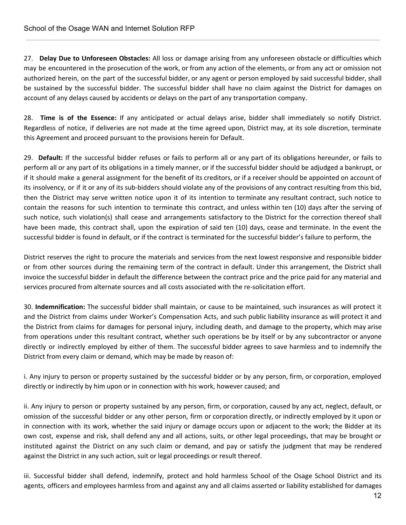27. **Delay Due to Unforeseen Obstacles:** All loss or damage arising from any unforeseen obstacle or difficulties which may be encountered in the prosecution of the work, or from any action of the elements, or from any act or omission not authorized herein, on the part of the successful bidder, or any agent or person employed by said successful bidder, shall be sustained by the successful bidder. The successful bidder shall have no claim against the District for damages on account of any delays caused by accidents or delays on the part of any transportation company.

28. **Time is of the Essence:** If any anticipated or actual delays arise, bidder shall immediately so notify District. Regardless of notice, if deliveries are not made at the time agreed upon, District may, at its sole discretion, terminate this Agreement and proceed pursuant to the provisions herein for Default.

29. **Default:** If the successful bidder refuses or fails to perform all or any part of its obligations hereunder, or fails to perform all or any part of its obligations in a timely manner, or if the successful bidder should be adjudged a bankrupt, or if it should make a general assignment for the benefit of its creditors, or if a receiver should be appointed on account of its insolvency, or if it or any of its sub-bidders should violate any of the provisions of any contract resulting from this bid, then the District may serve written notice upon it of its intention to terminate any resultant contract, such notice to contain the reasons for such intention to terminate this contract, and unless within ten (10) days after the serving of such notice, such violation(s) shall cease and arrangements satisfactory to the District for the correction thereof shall have been made, this contract shall, upon the expiration of said ten (10) days, cease and terminate. In the event the successful bidder is found in default, or if the contract is terminated for the successful bidder's failure to perform, the

District reserves the right to procure the materials and services from the next lowest responsive and responsible bidder or from other sources during the remaining term of the contract in default. Under this arrangement, the District shall invoice the successful bidder in default the difference between the contract price and the price paid for any material and services procured from alternate sources and all costs associated with the re-solicitation effort.

30. **Indemnification:** The successful bidder shall maintain, or cause to be maintained, such insurances as will protect it and the District from claims under Worker's Compensation Acts, and such public liability insurance as will protect it and the District from claims for damages for personal injury, including death, and damage to the property, which may arise from operations under this resultant contract, whether such operations be by itself or by any subcontractor or anyone directly or indirectly employed by either of them. The successful bidder agrees to save harmless and to indemnify the District from every claim or demand, which may be made by reason of:

i. Any injury to person or property sustained by the successful bidder or by any person, firm, or corporation, employed directly or indirectly by him upon or in connection with his work, however caused; and

ii. Any injury to person or property sustained by any person, firm, or corporation, caused by any act, neglect, default, or omission of the successful bidder or any other person, firm or corporation directly, or indirectly employed by it upon or in connection with its work, whether the said injury or damage occurs upon or adjacent to the work; the Bidder at its own cost, expense and risk, shall defend any and all actions, suits, or other legal proceedings, that may be brought or instituted against the District on any such claim or demand, and pay or satisfy the judgment that may be rendered against the District in any such action, suit or legal proceedings or result thereof.

iii. Successful bidder shall defend, indemnify, protect and hold harmless School of the Osage School District and its agents, officers and employees harmless from and against any and all claims asserted or liability established for damages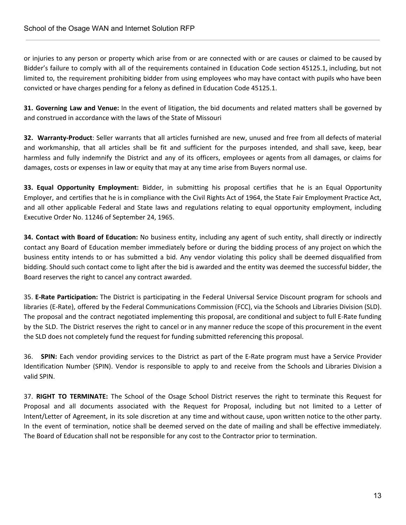or injuries to any person or property which arise from or are connected with or are causes or claimed to be caused by Bidder's failure to comply with all of the requirements contained in Education Code section 45125.1, including, but not limited to, the requirement prohibiting bidder from using employees who may have contact with pupils who have been convicted or have charges pending for a felony as defined in Education Code 45125.1.

**31. Governing Law and Venue:** In the event of litigation, the bid documents and related matters shall be governed by and construed in accordance with the laws of the State of Missouri

**32. Warranty-Product**: Seller warrants that all articles furnished are new, unused and free from all defects of material and workmanship, that all articles shall be fit and sufficient for the purposes intended, and shall save, keep, bear harmless and fully indemnify the District and any of its officers, employees or agents from all damages, or claims for damages, costs or expenses in law or equity that may at any time arise from Buyers normal use.

**33. Equal Opportunity Employment:** Bidder, in submitting his proposal certifies that he is an Equal Opportunity Employer, and certifies that he is in compliance with the Civil Rights Act of 1964, the State Fair Employment Practice Act, and all other applicable Federal and State laws and regulations relating to equal opportunity employment, including Executive Order No. 11246 of September 24, 1965.

**34. Contact with Board of Education:** No business entity, including any agent of such entity, shall directly or indirectly contact any Board of Education member immediately before or during the bidding process of any project on which the business entity intends to or has submitted a bid. Any vendor violating this policy shall be deemed disqualified from bidding. Should such contact come to light after the bid is awarded and the entity was deemed the successful bidder, the Board reserves the right to cancel any contract awarded.

35. **E-Rate Participation:** The District is participating in the Federal Universal Service Discount program for schools and libraries (E-Rate), offered by the Federal Communications Commission (FCC), via the Schools and Libraries Division (SLD). The proposal and the contract negotiated implementing this proposal, are conditional and subject to full E-Rate funding by the SLD. The District reserves the right to cancel or in any manner reduce the scope of this procurement in the event the SLD does not completely fund the request for funding submitted referencing this proposal.

36. **SPIN:** Each vendor providing services to the District as part of the E-Rate program must have a Service Provider Identification Number (SPIN). Vendor is responsible to apply to and receive from the Schools and Libraries Division a valid SPIN.

37. **RIGHT TO TERMINATE:** The School of the Osage School District reserves the right to terminate this Request for Proposal and all documents associated with the Request for Proposal, including but not limited to a Letter of Intent/Letter of Agreement, in its sole discretion at any time and without cause, upon written notice to the other party. In the event of termination, notice shall be deemed served on the date of mailing and shall be effective immediately. The Board of Education shall not be responsible for any cost to the Contractor prior to termination.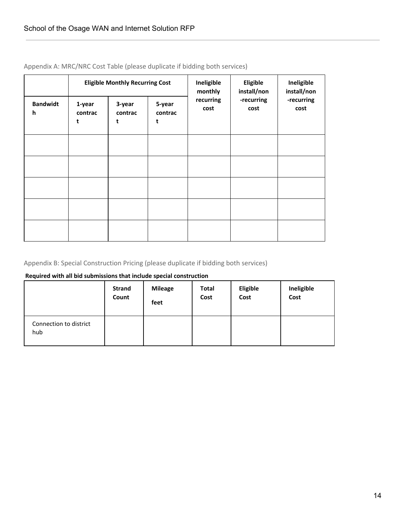|                      | <b>Eligible Monthly Recurring Cost</b> |                        |                        | Ineligible<br>monthly | Eligible<br>install/non | Ineligible<br>install/non |
|----------------------|----------------------------------------|------------------------|------------------------|-----------------------|-------------------------|---------------------------|
| <b>Bandwidt</b><br>h | 1-year<br>contrac<br>t                 | 3-year<br>contrac<br>t | 5-year<br>contrac<br>t | recurring<br>cost     | -recurring<br>cost      | -recurring<br>cost        |
|                      |                                        |                        |                        |                       |                         |                           |
|                      |                                        |                        |                        |                       |                         |                           |
|                      |                                        |                        |                        |                       |                         |                           |
|                      |                                        |                        |                        |                       |                         |                           |
|                      |                                        |                        |                        |                       |                         |                           |

Appendix A: MRC/NRC Cost Table (please duplicate if bidding both services)

## Appendix B: Special Construction Pricing (please duplicate if bidding both services)

## **Required with all bid submissions that include special construction**

|                               | <b>Strand</b> | <b>Mileage</b> | <b>Total</b> | <b>Eligible</b> | Ineligible |
|-------------------------------|---------------|----------------|--------------|-----------------|------------|
|                               | Count         | feet           | Cost         | Cost            | Cost       |
| Connection to district<br>hub |               |                |              |                 |            |